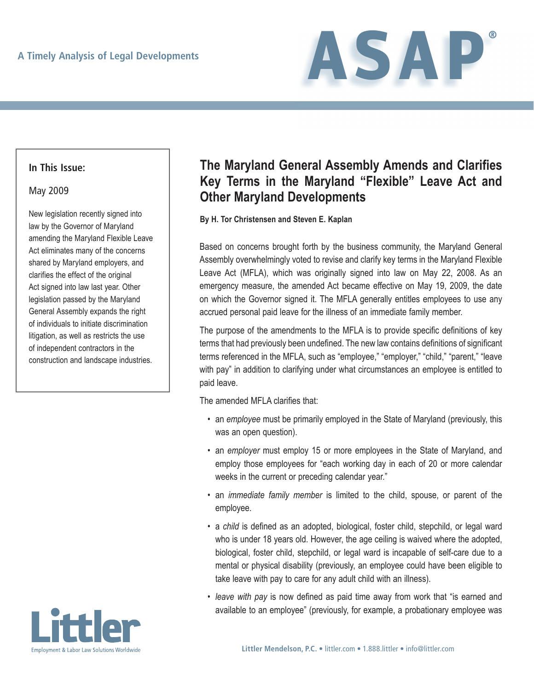

### **In This Issue:**

#### May 2009

New legislation recently signed into law by the Governor of Maryland amending the Maryland Flexible Leave Act eliminates many of the concerns shared by Maryland employers, and clarifies the effect of the original Act signed into law last year. Other legislation passed by the Maryland General Assembly expands the right of individuals to initiate discrimination litigation, as well as restricts the use of independent contractors in the construction and landscape industries.



# **The Maryland General Assembly Amends and Clarifies Key Terms in the Maryland "Flexible" Leave Act and Other Maryland Developments**

**By H. Tor Christensen and Steven E. Kaplan**

Based on concerns brought forth by the business community, the Maryland General Assembly overwhelmingly voted to revise and clarify key terms in the Maryland Flexible Leave Act (MFLA), which was originally signed into law on May 22, 2008. As an emergency measure, the amended Act became effective on May 19, 2009, the date on which the Governor signed it. The MFLA generally entitles employees to use any accrued personal paid leave for the illness of an immediate family member.

The purpose of the amendments to the MFLA is to provide specific definitions of key terms that had previously been undefined. The new law contains definitions of significant terms referenced in the MFLA, such as "employee," "employer," "child," "parent," "leave with pay" in addition to clarifying under what circumstances an employee is entitled to paid leave.

The amended MFLA clarifies that:

- an *employee* must be primarily employed in the State of Maryland (previously, this was an open question).
- an *employer* must employ 15 or more employees in the State of Maryland, and employ those employees for "each working day in each of 20 or more calendar weeks in the current or preceding calendar year."
- an *immediate family member* is limited to the child, spouse, or parent of the employee.
- a *child* is defined as an adopted, biological, foster child, stepchild, or legal ward who is under 18 years old. However, the age ceiling is waived where the adopted, biological, foster child, stepchild, or legal ward is incapable of self-care due to a mental or physical disability (previously, an employee could have been eligible to take leave with pay to care for any adult child with an illness).
- *leave with pay* is now defined as paid time away from work that "is earned and available to an employee" (previously, for example, a probationary employee was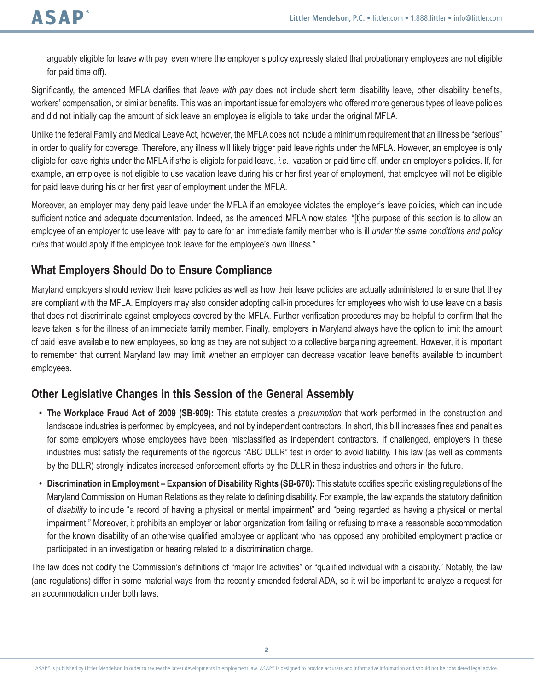arguably eligible for leave with pay, even where the employer's policy expressly stated that probationary employees are not eligible for paid time off).

Significantly, the amended MFLA clarifies that *leave with pay* does not include short term disability leave, other disability benefits, workers' compensation, or similar benefits. This was an important issue for employers who offered more generous types of leave policies and did not initially cap the amount of sick leave an employee is eligible to take under the original MFLA.

Unlike the federal Family and Medical Leave Act, however, the MFLA does not include a minimum requirement that an illness be "serious" in order to qualify for coverage. Therefore, any illness will likely trigger paid leave rights under the MFLA. However, an employee is only eligible for leave rights under the MFLA if s/he is eligible for paid leave, *i.e*., vacation or paid time off, under an employer's policies. If, for example, an employee is not eligible to use vacation leave during his or her first year of employment, that employee will not be eligible for paid leave during his or her first year of employment under the MFLA.

Moreover, an employer may deny paid leave under the MFLA if an employee violates the employer's leave policies, which can include sufficient notice and adequate documentation. Indeed, as the amended MFLA now states: "[t]he purpose of this section is to allow an employee of an employer to use leave with pay to care for an immediate family member who is ill *under the same conditions and policy rules* that would apply if the employee took leave for the employee's own illness."

## **What Employers Should Do to Ensure Compliance**

Maryland employers should review their leave policies as well as how their leave policies are actually administered to ensure that they are compliant with the MFLA. Employers may also consider adopting call-in procedures for employees who wish to use leave on a basis that does not discriminate against employees covered by the MFLA. Further verification procedures may be helpful to confirm that the leave taken is for the illness of an immediate family member. Finally, employers in Maryland always have the option to limit the amount of paid leave available to new employees, so long as they are not subject to a collective bargaining agreement. However, it is important to remember that current Maryland law may limit whether an employer can decrease vacation leave benefits available to incumbent employees.

## **Other Legislative Changes in this Session of the General Assembly**

- **• The Workplace Fraud Act of 2009 (SB-909):** This statute creates a *presumption* that work performed in the construction and landscape industries is performed by employees, and not by independent contractors. In short, this bill increases fines and penalties for some employers whose employees have been misclassified as independent contractors. If challenged, employers in these industries must satisfy the requirements of the rigorous "ABC DLLR" test in order to avoid liability. This law (as well as comments by the DLLR) strongly indicates increased enforcement efforts by the DLLR in these industries and others in the future.
- **• Discrimination in Employment Expansion of Disability Rights (SB-670):** This statute codifies specific existing regulations of the Maryland Commission on Human Relations as they relate to defining disability. For example, the law expands the statutory definition of *disability* to include "a record of having a physical or mental impairment" and "being regarded as having a physical or mental impairment." Moreover, it prohibits an employer or labor organization from failing or refusing to make a reasonable accommodation for the known disability of an otherwise qualified employee or applicant who has opposed any prohibited employment practice or participated in an investigation or hearing related to a discrimination charge.

The law does not codify the Commission's definitions of "major life activities" or "qualified individual with a disability." Notably, the law (and regulations) differ in some material ways from the recently amended federal ADA, so it will be important to analyze a request for an accommodation under both laws.